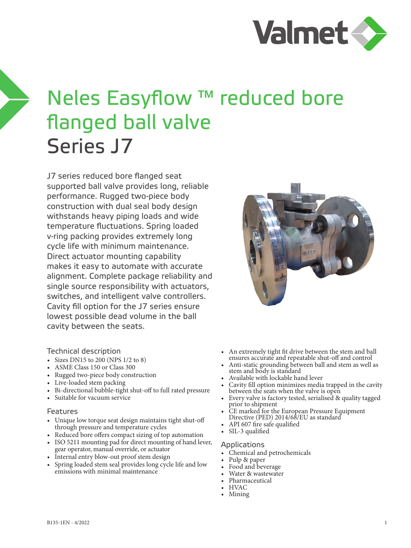

# Neles Easyflow ™ reduced bore flanged ball valve Series J7

J7 series reduced bore flanged seat supported ball valve provides long, reliable performance. Rugged two-piece body construction with dual seal body design withstands heavy piping loads and wide temperature fluctuations. Spring loaded v-ring packing provides extremely long cycle life with minimum maintenance. Direct actuator mounting capability makes it easy to automate with accurate alignment. Complete package reliability and single source responsibility with actuators, switches, and intelligent valve controllers. Cavity fill option for the J7 series ensure lowest possible dead volume in the ball cavity between the seats.

#### Technical description

- Sizes DN15 to 200 (NPS 1/2 to 8)
- ASME Class 150 or Class 300
- Rugged two-piece body construction
- Live-loaded stem packing
- Bi-directional bubble-tight shut-off to full rated pressure
- Suitable for vacuum service

#### Features

- Unique low torque seat design maintains tight shut-off through pressure and temperature cycles
- Reduced bore offers compact sizing of top automation
- ISO 5211 mounting pad for direct mounting of hand lever, gear operator, manual override, or actuator
- Internal entry blow-out proof stem design
- Spring loaded stem seal provides long cycle life and low emissions with minimal maintenance



- An extremely tight fit drive between the stem and ball ensures accurate and repeatable shut-off and control
- Anti-static grounding between ball and stem as well as stem and body is standard
- Available with lockable hand lever
- Cavity fill option minimizes media trapped in the cavity
- Every valve is factory tested, serialised & quality tagged prior to shipment
- CE marked for the European Pressure Equipment Directive (PED) 2014/68/EU as standard<br>• API 607 fire safe qualified<br>• SIL-3 qualified
- 
- 

#### Applications

- Chemical and petrochemicals<br>• Pulp & paper<br>• Food and beverage<br>• Water & wastewater<br>• Pharmaceutical<br>• HVAC<br>• Mining
- 
- 
- 
- 
- 
-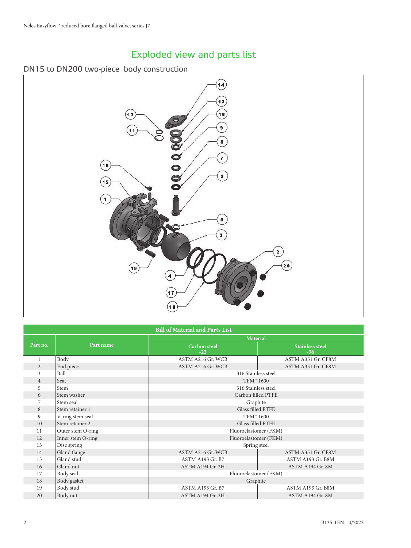# Exploded view and parts list

#### DN15 to DN200 two-piece body construction



| <b>Bill of Material and Parts List</b> |                                      |                              |                                 |  |  |  |  |  |  |  |  |
|----------------------------------------|--------------------------------------|------------------------------|---------------------------------|--|--|--|--|--|--|--|--|
|                                        |                                      | <b>Material</b>              |                                 |  |  |  |  |  |  |  |  |
| Part no.                               | Part name                            | <b>Carbon</b> steel<br>$-22$ | <b>Stainless steel</b><br>$-36$ |  |  |  |  |  |  |  |  |
| 1                                      | Body                                 | ASTM A216 Gr. WCB            | ASTM A351 Gr. CF8M              |  |  |  |  |  |  |  |  |
| 2                                      | End piece                            | ASTM A216 Gr. WCB            | ASTM A351 Gr. CF8M              |  |  |  |  |  |  |  |  |
| 3                                      | Ball                                 | 316 Stainless steel          |                                 |  |  |  |  |  |  |  |  |
| $\overline{4}$                         | Seat                                 | TFM™ 1600                    |                                 |  |  |  |  |  |  |  |  |
| 5                                      | Stem                                 | 316 Stainless steel          |                                 |  |  |  |  |  |  |  |  |
| 6                                      | Stem washer                          | Carbon filled PTFE           |                                 |  |  |  |  |  |  |  |  |
| 7                                      | Stem seal                            | Graphite                     |                                 |  |  |  |  |  |  |  |  |
| 8                                      | Glass filled PTFE<br>Stem retainer 1 |                              |                                 |  |  |  |  |  |  |  |  |
| $\overline{9}$                         | V-ring stem seal                     | TFM™ 1600                    |                                 |  |  |  |  |  |  |  |  |
| 10                                     | Stem retainer 2                      | Glass filled PTFE            |                                 |  |  |  |  |  |  |  |  |
| 11                                     | Outer stem O-ring                    | Fluoroelastomer (FKM)        |                                 |  |  |  |  |  |  |  |  |
| 12                                     | Inner stem O-ring                    | Fluoroelastomer (FKM)        |                                 |  |  |  |  |  |  |  |  |
| 13                                     | Disc spring                          | Spring steel                 |                                 |  |  |  |  |  |  |  |  |
| 14                                     | Gland flange                         | ASTM A216 Gr. WCB            | ASTM A351 Gr. CF8M              |  |  |  |  |  |  |  |  |
| 15                                     | Gland stud                           | ASTM A193 Gr. B7             | ASTM A193 Gr. B8M               |  |  |  |  |  |  |  |  |
| 16                                     | Gland nut                            | ASTM A194 Gr. 2H             | ASTM A194 Gr. 8M                |  |  |  |  |  |  |  |  |
| 17                                     | Body seal                            | Fluoroelastomer (FKM)        |                                 |  |  |  |  |  |  |  |  |
| 18                                     | Body gasket                          | Graphite                     |                                 |  |  |  |  |  |  |  |  |
| 19                                     | Body stud                            | ASTM A193 Gr. B7             | ASTM A193 Gr. B8M               |  |  |  |  |  |  |  |  |
| 20                                     | Body nut                             | ASTM A194 Gr. 2H             | ASTM A194 Gr. 8M                |  |  |  |  |  |  |  |  |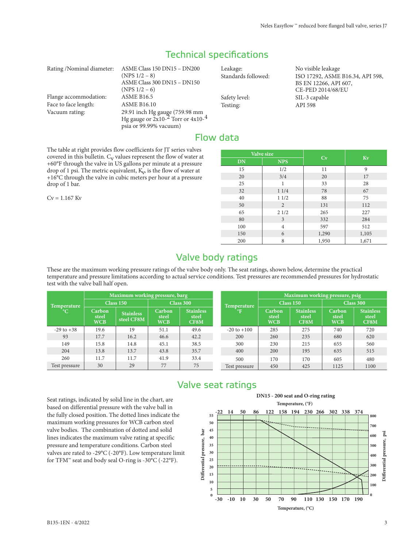## Technical specifications

| Rating/Nominal diameter: | ASME Class 150 DN15 - DN200                                                                 |  |
|--------------------------|---------------------------------------------------------------------------------------------|--|
|                          | $(NPS 1/2 - 8)$                                                                             |  |
|                          | ASME Class 300 DN15 - DN150                                                                 |  |
|                          | $(NPS 1/2 - 6)$                                                                             |  |
| Flange accommodation:    | <b>ASME B16.5</b>                                                                           |  |
| Face to face length:     | <b>ASME B16.10</b>                                                                          |  |
| Vacuum rating:           | 29.91 inch Hg gauge (759.98 mm<br>Hg gauge or 2x10- <sup>2</sup> Torr or 4x10- <sup>4</sup> |  |
|                          |                                                                                             |  |
|                          | psia or 99.99% vacuum)                                                                      |  |

Leakage: No visible leakage Standards followed: ISO 17292, ASME B16.34, API 598, Safety level:<br>
Testing:<br>
Testing:<br>
API 598 Testing:

BS EN 12266, API 607, CE-PED 2014/68/EU

## Flow data

The table at right provides flow coefficients for JT series valves covered in this bulletin.  $C_V$  values represent the flow of water at +60°F through the valve in US gallons per minute at a pressure drop of 1 psi. The metric equivalent,  $K_v$  is the flow of water at +16°C through the valve in cubic meters per hour at a pressure drop of 1 bar.

 $Cv = 1.167$  Kv

| Valve size |                | Cv    | Kv    |
|------------|----------------|-------|-------|
| <b>DN</b>  | <b>NPS</b>     |       |       |
| 15         | 1/2            | 11    | 9     |
| 20         | 3/4            | 20    | 17    |
| 25         |                | 33    | 28    |
| 32         | 11/4           | 78    | 67    |
| 40         | 11/2           | 88    | 75    |
| 50         | 2              | 131   | 112   |
| 65         | 21/2           | 265   | 227   |
| 80         | 3              | 332   | 284   |
| 100        | $\overline{4}$ | 597   | 512   |
| 150        | 6              | 1,290 | 1,105 |
| 200        | 8              | 1,950 | 1,671 |

## Valve body ratings

These are the maximum working pressure ratings of the valve body only. The seat ratings, shown below, determine the practical temperature and pressure limitations according to actual service conditions. Test pressures are recommended pressures for hydrostatic test with the valve ball half open.

|                    |                               | Maximum working pressure, barg |                               |                                   |                    | Maximum working pressure, psig |                                   |                               |                                   |  |  |
|--------------------|-------------------------------|--------------------------------|-------------------------------|-----------------------------------|--------------------|--------------------------------|-----------------------------------|-------------------------------|-----------------------------------|--|--|
| <b>Temperature</b> |                               | Class 150                      |                               | Class 300                         | <b>Temperature</b> |                                | Class 150                         | Class 300                     |                                   |  |  |
| $\rm ^{\circ}C$    | Carbon<br>steel<br><b>WCB</b> | <b>Stainless</b><br>steel CF8M | Carbon<br>steel<br><b>WCB</b> | <b>Stainless</b><br>steel<br>CF8M | $\mathbf{P}$       | Carbon<br>steel<br><b>WCB</b>  | <b>Stainless</b><br>steel<br>CF8M | Carbon<br>steel<br><b>WCB</b> | <b>Stainless</b><br>steel<br>CF8M |  |  |
| $-29$ to $+38$     | 19.6                          | 19                             | 51.1                          | 49.6                              | $-20$ to $+100$    | 285                            | 275                               | 740                           | 720                               |  |  |
| 93                 | 17.7                          | 16.2                           | 46.6                          | 42.2                              | 200                | 260                            | 235                               | 680                           | 620                               |  |  |
| 149                | 15.8                          | 14.8                           | 45.1                          | 38.5                              | 300                | 230                            | 215                               | 655                           | 560                               |  |  |
| 204                | 13.8                          | 13.7                           | 43.8                          | 35.7                              | 400                | 200                            | 195                               | 635                           | 515                               |  |  |
| 260                | 11.7                          | 11.7                           | 41.9                          | 33.4                              | 500                | 170                            | 170                               | 605                           | 480                               |  |  |
| Test pressure      | 30                            | 29                             | 77                            | 75                                | Test pressure      | 450                            | 425                               | 1125                          | 1100                              |  |  |

# Valve seat ratings

Seat ratings, indicated by solid line in the chart, are based on differential pressure with the valve ball in the fully closed position. The dotted lines indicate the maximum working pressures for WCB carbon steel valve bodies. The combination of dotted and solid lines indicates the maximum valve rating at specific pressure and temperature conditions. Carbon steel valves are rated to -29°C (-20°F). Low temperature limit for TFM™ seat and body seal O-ring is -30°C (-22°F).

#### **DN15 - 200 seat and O-ring rating**

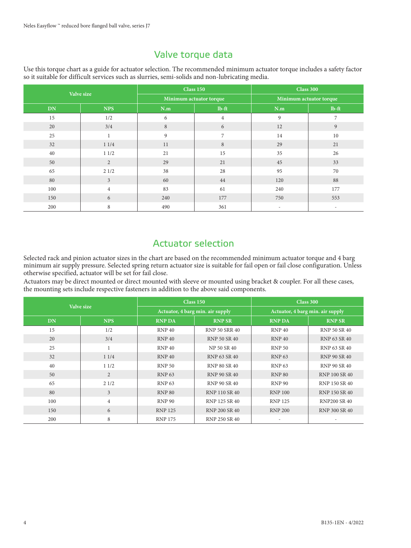## Valve torque data

Use this torque chart as a guide for actuator selection. The recommended minimum actuator torque includes a safety factor so it suitable for difficult services such as slurries, semi-solids and non-lubricating media.

|           | Valve size     |     | <b>Class 150</b>        | <b>Class 300</b>         |                          |  |  |
|-----------|----------------|-----|-------------------------|--------------------------|--------------------------|--|--|
|           |                |     | Minimum actuator torque | Minimum actuator torque  |                          |  |  |
| <b>DN</b> | <b>NPS</b>     | N.m | $lb$ -ft                | N.m                      | $lb$ -ft                 |  |  |
| 15        | 1/2            | 6   | $\overline{4}$          | 9                        | $\overline{7}$           |  |  |
| 20        | 3/4            | 8   | 6                       | 12                       | 9                        |  |  |
| 25        | $\mathbf{1}$   | 9   | $\overline{7}$          | 14                       | 10                       |  |  |
| 32        | 11/4           | 11  | 8                       | 29                       | 21                       |  |  |
| 40        | 11/2           | 21  | 15                      | 35                       | 26                       |  |  |
| 50        | 2              | 29  | 21                      | 45                       | 33                       |  |  |
| 65        | 21/2           | 38  | 28                      | 95                       | 70                       |  |  |
| 80        | $\overline{3}$ | 60  | 44                      | 120                      | 88                       |  |  |
| 100       | $\overline{4}$ | 83  | 61                      | 240                      | 177                      |  |  |
| 150       | 6              | 240 | 177                     | 750                      | 553                      |  |  |
| 200       | 8              | 490 | 361                     | $\overline{\phantom{a}}$ | $\overline{\phantom{a}}$ |  |  |

Actuator selection

Selected rack and pinion actuator sizes in the chart are based on the recommended minimum actuator torque and 4 barg minimum air supply pressure. Selected spring return actuator size is suitable for fail open or fail close configuration. Unless otherwise specified, actuator will be set for fail close.

Actuators may be direct mounted or direct mounted with sleeve or mounted using bracket & coupler. For all these cases, the mounting sets include respective fasteners in addition to the above said components.

|           | Valve size     |                   | Class 150                        | Class 300                        |                     |  |  |  |
|-----------|----------------|-------------------|----------------------------------|----------------------------------|---------------------|--|--|--|
|           |                |                   | Actuator, 4 barg min. air supply | Actuator, 4 barg min. air supply |                     |  |  |  |
| <b>DN</b> | <b>NPS</b>     | <b>RNP DA</b>     | <b>RNP SR</b>                    | <b>RNP DA</b>                    | <b>RNP SR</b>       |  |  |  |
| 15        | 1/2            | RNP <sub>40</sub> | RNP 50 SRR 40                    | <b>RNP 40</b>                    | <b>RNP 50 SR 40</b> |  |  |  |
| 20        | 3/4            | RNP <sub>40</sub> | <b>RNP 50 SR 40</b>              | <b>RNP 40</b>                    | RNP 63 SR 40        |  |  |  |
| 25        |                | RNP <sub>40</sub> | NP 50 SR 40                      | <b>RNP 50</b>                    | RNP 63 SR 40        |  |  |  |
| 32        | 11/4           | RNP <sub>40</sub> | RNP 63 SR 40                     | <b>RNP 63</b>                    | RNP 90 SR 40        |  |  |  |
| 40        | 11/2           | <b>RNP 50</b>     | RNP 80 SR 40                     | <b>RNP 63</b>                    | RNP 90 SR 40        |  |  |  |
| 50        | $\overline{2}$ | <b>RNP 63</b>     | RNP 90 SR 40                     | <b>RNP 80</b>                    | RNP 100 SR 40       |  |  |  |
| 65        | 21/2           | <b>RNP 63</b>     | RNP 90 SR 40                     | <b>RNP 90</b>                    | RNP 150 SR 40       |  |  |  |
| 80        | 3              | <b>RNP 80</b>     | RNP 110 SR 40                    | <b>RNP 100</b>                   | RNP 150 SR 40       |  |  |  |
| 100       | $\overline{4}$ | <b>RNP 90</b>     | RNP 125 SR 40                    | <b>RNP 125</b>                   | <b>RNP200 SR 40</b> |  |  |  |
| 150       | 6              | <b>RNP 125</b>    | RNP 200 SR 40                    | <b>RNP 200</b>                   | RNP 300 SR 40       |  |  |  |
| 200       | 8              | <b>RNP 175</b>    | RNP 250 SR 40                    |                                  |                     |  |  |  |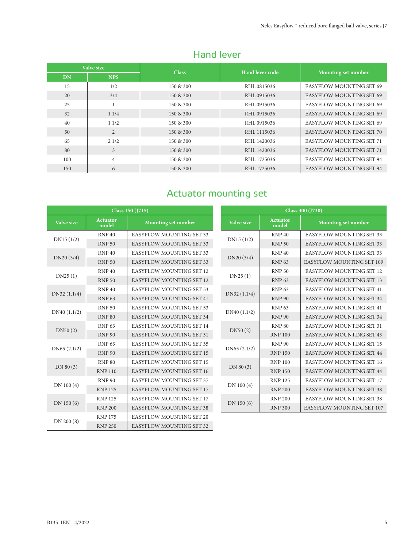|     | Valve size     |              | Hand lever code |                                 |  |  |
|-----|----------------|--------------|-----------------|---------------------------------|--|--|
| DN  | <b>NPS</b>     | <b>Class</b> |                 | Mounting set number             |  |  |
| 15  | 1/2            | 150 & 300    | RHL 0815036     | <b>EASYFLOW MOUNTING SET 69</b> |  |  |
| 20  | 3/4            | 150 & 300    | RHL 0915036     | <b>EASYFLOW MOUNTING SET 69</b> |  |  |
| 25  |                | 150 & 300    | RHL0915036      | <b>EASYFLOW MOUNTING SET 69</b> |  |  |
| 32  | 11/4           | 150 & 300    | RHL 0915036     | <b>EASYFLOW MOUNTING SET 69</b> |  |  |
| 40  | 11/2           | 150 & 300    | RHL0915036      | <b>EASYFLOW MOUNTING SET 69</b> |  |  |
| 50  | $\overline{2}$ | 150 & 300    | RHL 1115036     | <b>EASYFLOW MOUNTING SET 70</b> |  |  |
| 65  | 21/2           | 150 & 300    | RHL 1420036     | <b>EASYFLOW MOUNTING SET 71</b> |  |  |
| 80  | 3              | 150 & 300    | RHL 1420036     | <b>EASYFLOW MOUNTING SET 71</b> |  |  |
| 100 | $\overline{4}$ | 150 & 300    | RHL 1725036     | <b>EASYFLOW MOUNTING SET 94</b> |  |  |
| 150 | 6              | 150 & 300    | RHL 1725036     | <b>EASYFLOW MOUNTING SET 94</b> |  |  |

## Hand lever

# Actuator mounting set

|             |                          | Class 150 (J715)                |             |                          | Class 300 (J730)                |
|-------------|--------------------------|---------------------------------|-------------|--------------------------|---------------------------------|
| Valve size  | <b>Actuator</b><br>model | <b>Mounting set number</b>      | Valve size  | <b>Actuator</b><br>model | <b>Mounting set number</b>      |
| DN15(1/2)   | <b>RNP 40</b>            | <b>EASYFLOW MOUNTING SET 33</b> | DN15(1/2)   | <b>RNP 40</b>            | EASYFLOW MOUNTING SET 33        |
|             | <b>RNP 50</b>            | EASYFLOW MOUNTING SET 33        |             | <b>RNP 50</b>            | EASYFLOW MOUNTING SET 33        |
| DN20(3/4)   | <b>RNP 40</b>            | EASYFLOW MOUNTING SET 33        | DN20 (3/4)  | RNP <sub>40</sub>        | EASYFLOW MOUNTING SET 33        |
|             | <b>RNP 50</b>            | EASYFLOW MOUNTING SET 33        |             | <b>RNP 63</b>            | EASYFLOW MOUNTING SET 109       |
| DN25(1)     | <b>RNP 40</b>            | EASYFLOW MOUNTING SET 12        | DN25(1)     | <b>RNP 50</b>            | EASYFLOW MOUNTING SET 12        |
|             | <b>RNP 50</b>            | EASYFLOW MOUNTING SET 12        |             | <b>RNP 63</b>            | EASYFLOW MOUNTING SET 13        |
| DN32(1.1/4) | <b>RNP 40</b>            | <b>EASYFLOW MOUNTING SET 53</b> | DN32(1.1/4) | <b>RNP 63</b>            | EASYFLOW MOUNTING SET 41        |
|             | <b>RNP 63</b>            | EASYFLOW MOUNTING SET 41        |             | <b>RNP 90</b>            | EASYFLOW MOUNTING SET 34        |
| DN40(1.1/2) | <b>RNP 50</b>            | EASYFLOW MOUNTING SET 53        | DN40(1.1/2) | <b>RNP 63</b>            | EASYFLOW MOUNTING SET 41        |
|             | <b>RNP 80</b>            | EASYFLOW MOUNTING SET 34        |             | <b>RNP 90</b>            | <b>EASYFLOW MOUNTING SET 34</b> |
| DN50(2)     | <b>RNP 63</b>            | EASYFLOW MOUNTING SET 14        | DN50(2)     | <b>RNP 80</b>            | EASYFLOW MOUNTING SET 31        |
|             | <b>RNP 90</b>            | EASYFLOW MOUNTING SET 31        |             | <b>RNP 100</b>           | EASYFLOW MOUNTING SET 43        |
| DN65(2.1/2) | <b>RNP 63</b>            | <b>EASYFLOW MOUNTING SET 35</b> | DN65(2.1/2) | <b>RNP 90</b>            | <b>EASYFLOW MOUNTING SET 15</b> |
|             | <b>RNP 90</b>            | EASYFLOW MOUNTING SET 15        |             | <b>RNP 150</b>           | EASYFLOW MOUNTING SET 44        |
| DN 80(3)    | <b>RNP 80</b>            | <b>EASYFLOW MOUNTING SET 15</b> | DN 80 (3)   | <b>RNP 100</b>           | <b>EASYFLOW MOUNTING SET 16</b> |
|             | <b>RNP 110</b>           | EASYFLOW MOUNTING SET 16        |             | <b>RNP 150</b>           | <b>EASYFLOW MOUNTING SET 44</b> |
|             | <b>RNP 90</b>            | EASYFLOW MOUNTING SET 37        |             | <b>RNP 125</b>           | <b>EASYFLOW MOUNTING SET 17</b> |
| DN 100 (4)  | <b>RNP 125</b>           | EASYFLOW MOUNTING SET 17        | DN 100 (4)  | <b>RNP 200</b>           | EASYFLOW MOUNTING SET 38        |
| DN 150(6)   | <b>RNP 125</b>           | <b>EASYFLOW MOUNTING SET 17</b> | DN 150 (6)  | <b>RNP 200</b>           | <b>EASYFLOW MOUNTING SET 38</b> |
|             | <b>RNP 200</b>           | EASYFLOW MOUNTING SET 38        |             | <b>RNP 300</b>           | EASYFLOW MOUNTING SET 107       |
| DN 200 (8)  | <b>RNP 175</b>           | EASYFLOW MOUNTING SET 20        |             |                          |                                 |
|             | <b>RNP 250</b>           | <b>EASYFLOW MOUNTING SET 32</b> |             |                          |                                 |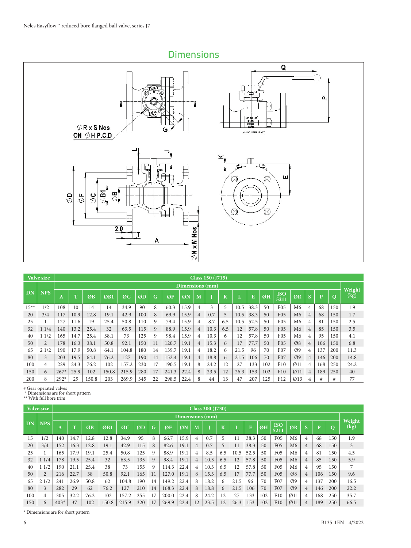Dimensions



|         | Valve size | Class 150 (1715) |      |       |       |       |     |    |       |                 |                |      |                         |      |      |     |                    |                  |                |     |                |                |
|---------|------------|------------------|------|-------|-------|-------|-----|----|-------|-----------------|----------------|------|-------------------------|------|------|-----|--------------------|------------------|----------------|-----|----------------|----------------|
|         |            |                  |      |       |       |       |     |    |       | Dimensions (mm) |                |      |                         |      |      |     |                    |                  |                |     |                |                |
| DN      | <b>NPS</b> | A                | m    | ØB    | ØB1   | ØC    | ØD  | G  | ØF    | ØN              | M              |      | $\overline{\mathbf{K}}$ |      | E    | ØH  | <b>ISO</b><br>5211 | ØR               |                | P   | $\overline{O}$ | Weight<br>(kg) |
| $15***$ | 1/2        | 108              | 10   | 14    | 14    | 34.9  | 90  | 8  | 60.3  | 15.9            | $\overline{4}$ | 3    | 5                       | 10.5 | 38.3 | 50  | F05                | M <sub>6</sub>   | 4              | 68  | 150            | 1.9            |
| 20      | 3/4        | 117              | 10.9 | 12.8  | 19.1  | 42.9  | 100 | 8  | 69.9  | 15.9            | 4              | 0.7  | 5                       | 10.5 | 38.3 | 50  | F <sub>05</sub>    | M <sub>6</sub>   | 4              | 68  | 150            | 1.7            |
| 25      |            | 127              | 11.6 | 19    | 25.4  | 50.8  | 110 | 9  | 79.4  | 15.9            | 4              | 8.7  | 6.5                     | 10.5 | 52.5 | 50  | F <sub>05</sub>    | M6               | 4              | 81  | 150            | 2.5            |
| 32      | 11/4       | 140              | 13.2 | 25.4  | 32    | 63.5  | 115 | 9  | 88.9  | 15.9            | $\overline{4}$ | 10.3 | 6.5                     | 12   | 57.8 | 50  | F <sub>05</sub>    | M <sub>6</sub>   | $\overline{4}$ | 85  | 150            | 3.5            |
| 40      | 11/2       | 165              | 14.7 | 25.4  | 38.1  | 73    | 125 | 9  | 98.4  | 15.9            | 4              | 10.3 | 6                       | 12   | 57.8 | 50  | F <sub>05</sub>    | M <sub>6</sub>   | 4              | 95  | 150            | 4.1            |
| 50      |            | 178              | 16.3 | 38.1  | 50.8  | 92.1  | 150 | 11 | 120.7 | 19.1            | $\overline{4}$ | 15.3 | 6                       | 17   | 77.7 | 50  | F <sub>05</sub>    | $\mathcal{O}8$   | $\overline{4}$ | 106 | 150            | 6.8            |
| 65      | 21/2       | 190              | 17.9 | 50.8  | 64.1  | 104.8 | 180 | 14 | 139.7 | 19.1            | 4              | 18.2 | 6                       | 21.5 | 96   | 70  | F <sub>07</sub>    | O <sub>9</sub>   | 4              | 137 | 200            | 11.3           |
| 80      | 3          | 203              | 19.5 | 64.1  | 76.2  | 127   | 190 | 14 | 152.4 | 19.1            | $\overline{4}$ | 18.8 | 6                       | 21.5 | 106  | 70  | F07                | O <sub>9</sub>   | $\overline{4}$ | 146 | 200            | 14.8           |
| 100     |            | 229              | 24.3 | 76.2  | 102   | 157.2 | 230 | 17 | 190.5 | 19.1            | 8              | 24.2 | 12                      | 27   | 133  | 102 | F10                | $\emptyset$ 11   | 4              | 168 | 250            | 24.2           |
| 150     | 6          | $267*$           | 25.9 | 102   | 150.8 | 215.9 | 280 | 17 | 241.3 | 22.4            | 8              | 23.5 | 12                      | 26.3 | 153  | 102 | F10                | $\emptyset$ 11   | 4              | 189 | 250            | 40             |
| 200     | 8          | $292*$           | 29   | 150.8 | 203   | 269.9 | 345 | 22 | 298.5 | 22.4            | 8              | 44   | 13                      | 47   | 207  | 125 | F12                | $\varnothing$ 13 |                | #   | #              | 77             |

# Gear operated valves \* Dimensions are for short pattern

|                        |  | D'intensions are for short patter |  |
|------------------------|--|-----------------------------------|--|
| ** With full bore trim |  |                                   |  |

|     | Valve size     |        |              |      |       |       |     |    |       |      |                | Class 300 (J730) |         |      |      |     |                    |                |                |     |     |                |
|-----|----------------|--------|--------------|------|-------|-------|-----|----|-------|------|----------------|------------------|---------|------|------|-----|--------------------|----------------|----------------|-----|-----|----------------|
|     |                |        |              |      |       |       |     |    |       |      |                | Dimensions (mm)  |         |      |      |     |                    |                |                |     |     |                |
| DN  | <b>NPS</b>     | A      | $\mathbf{r}$ | ØB   | ØB1   | ØC    | ØD  | G  | ØF    | ØN   | M              |                  | $\bf K$ |      | E    | ØH  | <b>ISO</b><br>5211 | ØR             | c<br>ь         | n   | O   | Weight<br>(kg) |
| 15  | 1/2            | 140    | 14.7         | 12.8 | 12.8  | 34.9  | 95  | 8  | 66.7  | 15.9 | $\overline{4}$ | 0.7              | 5       |      | 38.3 | 50  | F <sub>05</sub>    | M <sub>6</sub> | 4              | 68  | 150 | 1.9            |
| 20  | 3/4            | 152    | 16.3         | 12.8 | 19.1  | 42.9  | 115 | 8  | 82.6  | 19.1 | $\overline{4}$ | 0.7              | 5       |      | 38.3 | 50  | F <sub>05</sub>    | M <sub>6</sub> | $\overline{4}$ | 68  | 150 | 3              |
| 25  |                | 165    | 17.9         | 19.1 | 25.4  | 50.8  | 125 | 9  | 88.9  | 19.1 | 4              | 8.5              | 6.5     | 10.5 | 52.5 | 50  | F <sub>05</sub>    | M <sub>6</sub> | 4              | 81  | 150 | 4.5            |
| 32  | 11/4           | 178    | 19.5         | 25.4 | 32    | 63.5  | 135 | 9  | 98.4  | 19.1 | 4              | 10.3             | 6.5     | 12   | 57.8 | 50  | F <sub>05</sub>    | M <sub>6</sub> | 4              | 85  | 150 | 5.9            |
| 40  | 11/2           | 190    | 21.1         | 25.4 | 38    | 73    | 155 | 9  | 114.3 | 22.4 | 4              | 10.3             | 6.5     | 12   | 57.8 | 50  | F <sub>05</sub>    | M6             | 4              | 95  | 150 | 7              |
| 50  | $\overline{2}$ | 216    | 22.7         | 38   | 50.8  | 92.1  | 165 | 11 | 127.0 | 19.1 | 8              | 15.3             | 6.5     | 17   | 77.7 | 50  | <b>F05</b>         | Ø8             | $\overline{4}$ | 106 | 150 | 9.6            |
| 65  | 21/2           | 241    | 26.9         | 50.8 | 62    | 104.8 | 190 | 14 | 149.2 | 22.4 | 8              | 18.2             | 6       | 21.5 | 96   | 70  | F <sub>0</sub> 7   | O <sub>9</sub> | 4              | 137 | 200 | 16.5           |
| 80  | 3              | 282    | 29           | 62   | 76.2  | 127   | 210 | 14 | 168.3 | 22.4 | 8              | 18.8             | 6       | 21.5 | 106  | 70  | F07                | O <sub>9</sub> | 4              | 146 | 200 | 22.2           |
| 100 | 4              | 305    | 32.2         | 76.2 | 102   | 157.2 | 255 |    | 200.0 | 22.4 | 8              | 24.2             | 12      | 27   | 133  | 102 | F10                | $\emptyset$ 11 | 4              | 168 | 250 | 35.7           |
| 150 | 6              | $403*$ | 37           | 102  | 150.8 | 215.9 | 320 | 17 | 269.9 | 22.4 | 12             | 23.5             | 12      | 26.3 | 153  | 102 | F10                | $\emptyset$ 11 | 4              | 189 | 250 | 66.5           |

 $^\star$  Dimensions are for short pattern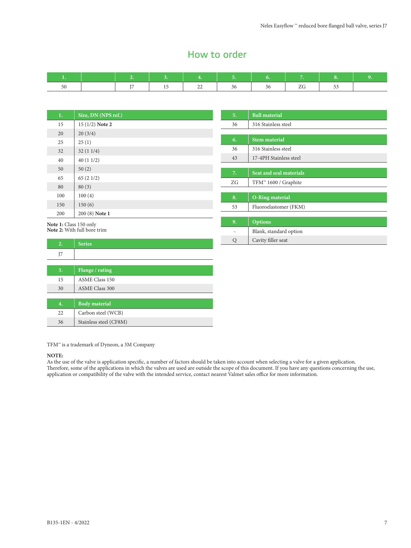## How to order

|  | $-$ | -- | . . |  |  |
|--|-----|----|-----|--|--|

| 1.  | Size, DN (NPS ref.) |
|-----|---------------------|
| 15  | 15 (1/2) Note 2     |
| 20  | 20(3/4)             |
| 25  | 25(1)               |
| 32  | 32(11/4)            |
| 40  | 40(11/2)            |
| 50  | 50(2)               |
| 65  | 65(21/2)            |
| 80  | 80(3)               |
| 100 | 100(4)              |
| 150 | 150(6)              |
| 200 | 200 (8) Note 1      |

| 5. | <b>Ball material</b>             |
|----|----------------------------------|
| 36 | 316 Stainless steel              |
|    |                                  |
| 6. | <b>Stem material</b>             |
| 36 | 316 Stainless steel              |
| 43 | 17-4PH Stainless steel           |
|    |                                  |
| 7. | Seat and seal materials          |
| ZG | TFM <sup>™</sup> 1600 / Graphite |
|    |                                  |
| 8. | <b>O-Ring material</b>           |
| 53 | Fluoroelastomer (FKM)            |
|    |                                  |
| 9. | <b>Options</b>                   |
|    | Blank, standard option           |
| Ő  | Cavity filler seat               |

**Note 1:** Class 150 only **Note 2:** With full bore trim

| 2. | <b>Series</b>          |  |
|----|------------------------|--|
| J7 |                        |  |
|    |                        |  |
| 3. | Flange / rating        |  |
| 15 | <b>ASME Class 150</b>  |  |
| 30 | <b>ASME Class 300</b>  |  |
|    |                        |  |
| 4. | <b>Body material</b>   |  |
| 22 | Carbon steel (WCB)     |  |
| 36 | Stainless steel (CF8M) |  |

TFM™ is a trademark of Dyneon, a 3M Company

#### **NOTE:**

As the use of the valve is application specific, a number of factors should be taken into account when selecting a valve for a given application. Therefore, some of the applications in which the valves are used are outside the scope of this document. If you have any questions concerning the use, application or compatibility of the valve with the intended service, contact nearest Valmet sales office for more information.